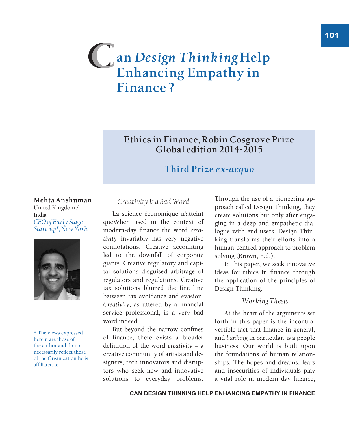# **an** *Design Thinking* **Help**   $C$  an *Design Thinking Hel*<br>Enhancing Empathy in **Finance ?**

### **Ethics in Finance, Robin Cosgrove Prize Global edition 2014-2015**

### **Third Prize** *ex-aequo*

### **Mehta Anshuman**

United Kingdom / India *CEO of Early Stage Start-up\*, New York.*



\* The views expressed herein are those of the author and do not necessarily reflect those of the Organization he is affiliated to.

#### *Creativity Is a Bad Word*

La science économique n'atteint queWhen used in the context of modern-day finance the word *creativity* invariably has very negative connotations. Creative accounting led to the downfall of corporate giants. Creative regulatory and capital solutions disguised arbitrage of regulators and regulations. Creative tax solutions blurred the fine line between tax avoidance and evasion. *Creativity*, as uttered by a financial service professional, is a very bad word indeed.

But beyond the narrow confines of finance, there exists a broader definition of the word *creativity* – a creative community of artists and designers, tech innovators and disruptors who seek new and innovative solutions to everyday problems.

Through the use of a pioneering approach called Design Thinking, they create solutions but only after engaging in a deep and empathetic dialogue with end-users. Design Thinking transforms their efforts into a human-centred approach to problem solving (Brown, n.d.).

In this paper, we seek innovative ideas for ethics in finance through the application of the principles of Design Thinking.

#### *Working Thesis*

At the heart of the arguments set forth in this paper is the incontrovertible fact that finance in general, and *banking* in particular, is a people business. Our world is built upon the foundations of human relationships. The hopes and dreams, fears and insecurities of individuals play a vital role in modern day finance,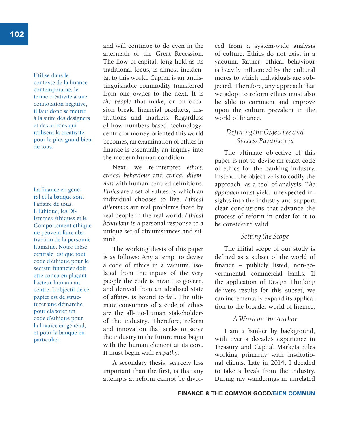Utilisé dans le contexte de la finance contemporaine, le terme créativité a une connotation négative, il faut donc se mettre à la suite des designers et des artistes qui utilisent la créativité pour le plus grand bien de tous.

La finance en général et la banque sont l'affaire de tous. L'Ethique, les Dilemmes éthiques et le Comportement éthique ne peuvent faire abstraction de la personne humaine. Notre thèse centrale est que tout code d'éthique pour le secteur financier doit être conçu en plaçant l'acteur humain au centre. L'objectif de ce papier est de structurer une démarche pour élaborer un code d'éthique pour la finance en général, et pour la banque en particulier.

and will continue to do even in the aftermath of the Great Recession. The flow of capital, long held as its traditional focus, is almost incidental to this world. Capital is an undistinguishable commodity transferred from one owner to the next. It is *the people* that make, or on occasion break, financial products, institutions and markets. Regardless of how numbers-based, technologycentric or money-oriented this world becomes, an examination of ethics in finance is essentially an inquiry into the modern human condition.

Next, we re-interpret *ethics, ethical behaviour* and *ethical dilemmas* with human-centred definitions. *Ethics* are a set of values by which an individual chooses to live. *Ethical dilemmas* are real problems faced by real people in the real world. *Ethical behaviour* is a personal response to a unique set of circumstances and stimuli.

The working thesis of this paper is as follows: Any attempt to devise a code of ethics in a vacuum, isolated from the inputs of the very people the code is meant to govern, and derived from an idealised state of affairs, is bound to fail. The ultimate consumers of a code of ethics are the all-too-human stakeholders of the industry. Therefore, reform and innovation that seeks to serve the industry in the future must begin with the human element at its core. It must begin with *empathy*.

A secondary thesis, scarcely less important than the first, is that any attempts at reform cannot be divorced from a system-wide analysis of culture. Ethics do not exist in a vacuum. Rather, ethical behaviour is heavily influenced by the cultural mores to which individuals are subjected. Therefore, any approach that we adopt to reform ethics must also be able to comment and improve upon the culture prevalent in the world of finance.

### *Defining the Objective and Success Parameters*

The ultimate objective of this paper is not to devise an exact code of ethics for the banking industry. Instead, the objective is to codify the approach as a tool of analysis. *The approach* must yield unexpected insights into the industry and support clear conclusions that advance the process of reform in order for it to be considered valid.

#### *Setting the Scope*

The initial scope of our study is defined as a subset of the world of finance – publicly listed, non-governmental commercial banks. If the application of Design Thinking delivers results for this subset, we can incrementally expand its application to the broader world of finance.

#### *A Word on the Author*

I am a banker by background, with over a decade's experience in Treasury and Capital Markets roles working primarily with institutional clients. Late in 2014, I decided to take a break from the industry. During my wanderings in unrelated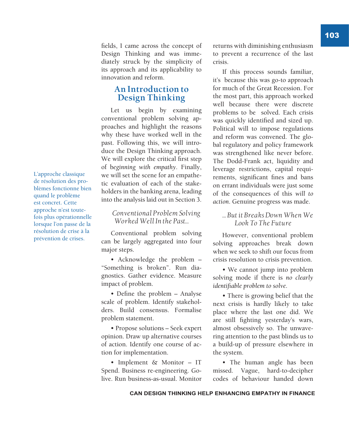fields, I came across the concept of Design Thinking and was immediately struck by the simplicity of its approach and its applicability to innovation and reform.

### **An Introduction to Design Thinking**

Let us begin by examining conventional problem solving approaches and highlight the reasons why these have worked well in the past. Following this, we will introduce the Design Thinking approach. We will explore the critical first step of b*eginning with empathy*. Finally, we will set the scene for an empathetic evaluation of each of the stakeholders in the banking arena, leading into the analysis laid out in Section 3.

### *Conventional Problem Solving Worked Well In the Past…*

Conventional problem solving can be largely aggregated into four major steps.

• Acknowledge the problem – "Something is broken". Run diagnostics. Gather evidence. Measure impact of problem.

• Define the problem – Analyse scale of problem. Identify stakeholders. Build consensus. Formalise problem statement.

• Propose solutions – Seek expert opinion. Draw up alternative courses of action. Identify one course of action for implementation.

• Implement & Monitor – IT Spend. Business re-engineering. Golive. Run business-as-usual. Monitor returns with diminishing enthusiasm to prevent a recurrence of the last crisis.

If this process sounds familiar, it's because this was go-to approach for much of the Great Recession. For the most part, this approach worked well because there were discrete problems to be solved. Each crisis was quickly identified and sized up. Political will to impose regulations and reform was convened. The global regulatory and policy framework was strengthened like never before. The Dodd-Frank act, liquidity and leverage restrictions, capital requirements, significant fines and bans on errant individuals were just some of the consequences of this *will to action*. Genuine progress was made.

### *… But it Breaks Down When We Look To The Future*

However, conventional problem solving approaches break down when we seek to shift our focus from crisis resolution to crisis prevention.

• We cannot jump into problem solving mode if there is *no clearly identifiable problem to solve*.

• There is growing belief that the next crisis is hardly likely to take place where the last one did. We are still fighting yesterday's wars, almost obsessively so. The unwavering attention to the past blinds us to a build-up of pressure elsewhere in the system.

• The human angle has been missed. Vague, hard-to-decipher codes of behaviour handed down

L'approche classique de résolution des problèmes fonctionne bien quand le problème est concret. Cette approche n'est toutefois plus opérationnelle lorsque l'on passe de la résolution de crise à la prévention de crises.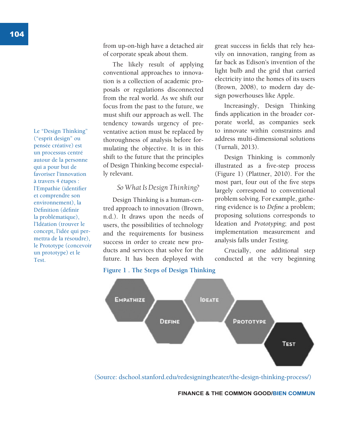Le "Design Thinking" ("esprit design" ou pensée créative) est un processus centré autour de la personne qui a pour but de favoriser l'innovation à travers 4 étapes : l'Empathie (identifier et comprendre son environnement), la Définition (définir la problématique), l'Idéation (trouver le concept, l'idée qui permettra de la résoudre), le Prototype (concevoir un prototype) et le Test.

from up-on-high have a detached air of corporate speak about them.

The likely result of applying conventional approaches to innovation is a collection of academic proposals or regulations disconnected from the real world. As we shift our focus from the past to the future, we must shift our approach as well. The tendency towards urgency of preventative action must be replaced by thoroughness of analysis before formulating the objective. It is in this shift to the future that the principles of Design Thinking become especially relevant.

### *So What Is Design Thinking?*

Design Thinking is a human-centred approach to innovation (Brown, n.d.). It draws upon the needs of users, the possibilities of technology and the requirements for business success in order to create new products and services that solve for the future. It has been deployed with

great success in fields that rely heavily on innovation, ranging from as far back as Edison's invention of the light bulb and the grid that carried electricity into the homes of its users (Brown, 2008), to modern day design powerhouses like Apple.

Increasingly, Design Thinking finds application in the broader corporate world, as companies seek to innovate within constraints and address multi-dimensional solutions (Turnali, 2013).

Design Thinking is commonly illustrated as a five-step process (Figure 1) (Plattner, 2010). For the most part, four out of the five steps largely correspond to conventional problem solving. For example, gathering evidence is to *Define* a problem; proposing solutions corresponds to Ideation and *Prototyping*; and post implementation measurement and analysis falls under *Testing.*

Crucially, one additional step conducted at the very beginning

#### **Figure 1 . The Steps of Design Thinking**



(Source: dschool.stanford.edu/redesigningtheater/the-design-thinking-process/)

**FINANCE & THE COMMON GOOD/BIEN COMMUN**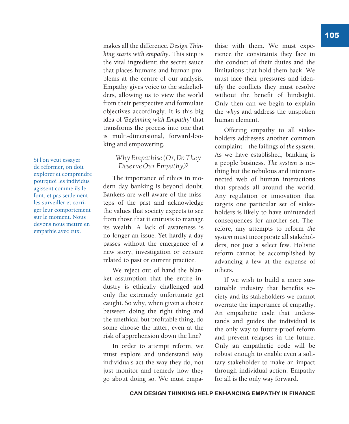thise with them. We must experience the constraints they face in the conduct of their duties and the limitations that hold them back. We

makes all the difference. *Design Thinking starts with empathy*. This step is the vital ingredient; the secret sauce that places humans and human problems at the centre of our analysis. Empathy gives voice to the stakeholders, allowing us to view the world from their perspective and formulate objectives accordingly. It is this big idea of *'Beginning with Empathy'* that transforms the process into one that is multi-dimensional, forward-loo-

king and empowering.

*Why Empathise (Or, Do They Deserve Our Empathy)?* The importance of ethics in modern day banking is beyond doubt. Bankers are well aware of the missteps of the past and acknowledge the values that society expects to see from those that it entrusts to manage its wealth. A lack of awareness is no longer an issue. Yet hardly a day passes without the emergence of a new story, investigation or censure related to past or current practice. We reject out of hand the blanket assumption that the entire industry is ethically challenged and only the extremely unfortunate get caught. So why, when given a choice between doing the right thing and the unethical but profitable thing, do some choose the latter, even at the risk of apprehension down the line? In order to attempt reform, we must explore and understand *why*  individuals act the way they do, not just monitor and remedy how they go about doing so. We must empa-

must face their pressures and identify the conflicts they must resolve without the benefit of hindsight. Only then can we begin to explain the *whys* and address the unspoken human element.

Offering empathy to all stakeholders addresses another common complaint – the failings of *the system*. As we have established, banking is a people business. *The system* is nothing but the nebulous and interconnected web of human interactions that spreads all around the world. Any regulation or innovation that targets one particular set of stakeholders is likely to have unintended consequences for another set. Therefore, any attempts to reform *the system* must incorporate all stakeholders, not just a select few. Holistic reform cannot be accomplished by advancing a few at the expense of others.

If we wish to build a more sustainable industry that benefits society and its stakeholders we cannot overrate the importance of empathy. An empathetic code that understands and guides the individual is the only way to future-proof reform and prevent relapses in the future. Only an empathetic code will be robust enough to enable even a solitary stakeholder to make an impact through individual action. Empathy for all is the only way forward.

Si l'on veut essayer de réformer, on doit explorer et comprendre pourquoi les individus agissent comme ils le font, et pas seulement les surveiller et corriger leur comportement sur le moment. Nous devons nous mettre en empathie avec eux.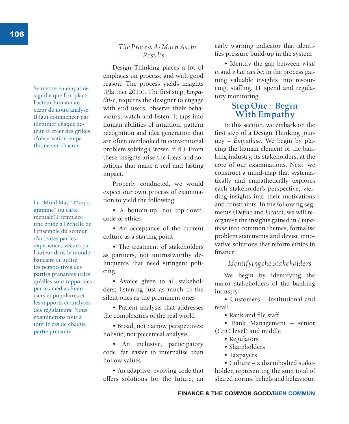Se mettre en empathie signifie que l'on place l'acteur humain au cœur de notre analyse. Il faut commencer par identifier chaque acteur et créer des grilles d'observation empathique sur chacun.

La "Mind Map" ("topogramme" ou carte mentale)1 remplace une étude à l'échelle de l'ensemble du secteur d'activités par les expériences vécues par l'auteur dans le monde bancaire et utilise les perspectives des parties prenantes telles qu'elles sont rapportées par les médias financiers et populaires et les rapports et analyses des régulateurs. Nous examinerons tour à tour le cas de chaque partie prenante.

### *The Process As Much As the Results*

Design Thinking places a lot of emphasis on process, and with good reason. The process yields insights (Plattner 2015). The first step, *Empathise*, requires the designer to engage with end users, observe their behaviours, watch and listen. It taps into human abilities of intuition, pattern recognition and idea generation that are often overlooked in conventional problem solving (Brown, n.d.). From these insights arise the ideas and solutions that make a real and lasting impact.

Properly conducted, we would expect our own process of examination to yield the following:

• A bottom-up, not top-down, code of ethics

• An acceptance of the current culture as a starting point

• The treatment of stakeholders as partners, not untrustworthy delinquents that need stringent policing

• Avoice given to all stakeholders; listening just as much to the silent ones as the prominent ones

• Patient analysis that addresses the complexities of the real world

• Broad, not narrow perspectives; holistic, not piecemeal analysis

• An inclusive, participatory code, far easier to internalise than hollow values

• An adaptive, evolving code that offers solutions for the future; an

early warning indicator that identifies pressure build-up in the system

• Identify the gap between *what is* and *what can be*; in the process gaining valuable insights into resourcing, staffing, IT spend and regulatory monitoring.

### **Step One – Begin With Empathy**

In this section, we embark on the first step of a Design Thinking journey – *Empathise*. We begin by placing the human element of the banking industry, its stakeholders, at the core of our examinations. Next, we construct a mind-map that systematically and empathetically explores each stakeholder's perspective, yielding insights into their motivations and constraints. In the following segments (*Define* and *Ideate*), we will reorganise the insights gained in *Empathise* into common themes, formalise problem statements and devise innovative solutions that reform ethics in finance.

### *Identifying the Stakeholders*

We begin by identifying the major stakeholders of the banking industry:

• Customers – institutional and retail

• Rank and file staff

• Bank Management – senior (CEO level) and middle

- Regulators
- Shareholders
- Taxpayers

• Culture – a disembodied stakeholder, representing the sum total of shared norms, beliefs and behaviour.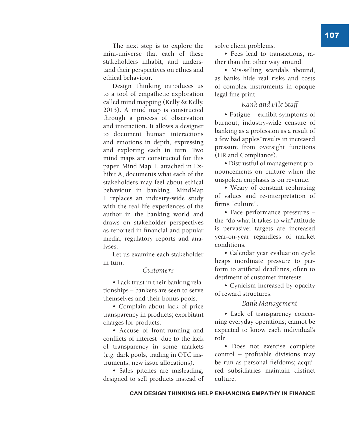The next step is to explore the mini-universe that each of these stakeholders inhabit, and understand their perspectives on ethics and ethical behaviour.

Design Thinking introduces us to a tool of empathetic exploration called mind mapping (Kelly & Kelly, 2013). A mind map is constructed through a process of observation and interaction. It allows a designer to document human interactions and emotions in depth, expressing and exploring each in turn. Two mind maps are constructed for this paper. Mind Map 1, attached in Exhibit A, documents what each of the stakeholders may feel about ethical behaviour in banking. MindMap 1 replaces an industry-wide study with the real-life experiences of the author in the banking world and draws on stakeholder perspectives as reported in financial and popular media, regulatory reports and analyses.

Let us examine each stakeholder in turn.

#### *Customers*

• Lack trust in their banking relationships – bankers are seen to serve themselves and their bonus pools.

• Complain about lack of price transparency in products; exorbitant charges for products.

• Accuse of front-running and conflicts of interest due to the lack of transparency in some markets (*e.g.* dark pools, trading in OTC instruments, new issue allocations).

• Sales pitches are misleading, designed to sell products instead of solve client problems.

• Fees lead to transactions, rather than the other way around.

• Mis-selling scandals abound, as banks hide real risks and costs of complex instruments in opaque legal fine print.

#### *Rank and File Staff*

• Fatigue – exhibit symptoms of burnout; industry-wide censure of banking as a profession as a result of a few bad apples"results in increased pressure from oversight functions (HR and Compliance).

• Distrustful of management pronouncements on culture when the unspoken emphasis is on revenue.

• Weary of constant rephrasing of values and re-interpretation of firm's "culture".

• Face performance pressures – the "do what it takes to win"attitude is pervasive; targets are increased year-on-year regardless of market conditions.

• Calendar year evaluation cycle heaps inordinate pressure to perform to artificial deadlines, often to detriment of customer interests.

• Cynicism increased by opacity of reward structures.

#### *Bank Management*

• Lack of transparency concerning everyday operations; cannot be expected to know each individual's role

• Does not exercise complete control – profitable divisions may be run as personal fiefdoms; acquired subsidiaries maintain distinct culture.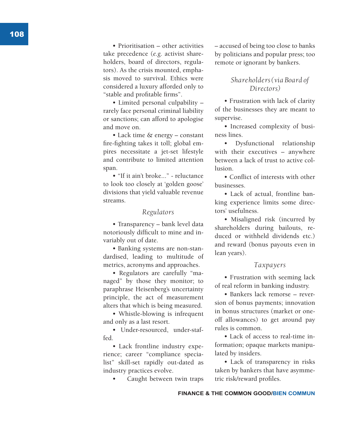• Prioritisation – other activities take precedence (*e.g.* activist share holders, board of directors, regula tors). As the crisis mounted, empha sis moved to survival. Ethics were considered a luxury afforded only to "stable and profitable firms".

• Limited personal culpability – rarely face personal criminal liability or sanctions; can afford to apologise and move on.

• Lack time & energy – constant fire-fighting takes it toll; global em pires necessitate a jet-set lifestyle and contribute to limited attention span.

• "If it ain't broke..." - reluctance to look too closely at 'golden goose' divisions that yield valuable revenue streams.

#### *Regulators*

• Transparency – bank level data notoriously difficult to mine and in variably out of date.

• Banking systems are non-stan dardised, leading to multitude of metrics, acronyms and approaches.

• Regulators are carefully "ma naged" by those they monitor; to paraphrase Heisenberg's uncertainty principle, the act of measurement alters that which is being measured.

• Whistle-blowing is infrequent and only as a last resort.

• Under-resourced, under-staffed.

• Lack frontline industry expe rience; career "compliance specia list" skill-set rapidly out-dated as industry practices evolve.

Caught between twin traps

– accused of being too close to banks by politicians and popular press; too remote or ignorant by bankers.

### *Shareholders (via Board of Directors)*

• Frustration with lack of clarity of the businesses they are meant to supervise.

• Increased complexity of busi ness lines.

• Dysfunctional relationship with their executives – anywhere between a lack of trust to active col lusion.

• Conflict of interests with other businesses.

• Lack of actual, frontline ban king experience limits some direc tors' usefulness.

• Misaligned risk (incurred by shareholders during bailouts, re duced or withheld dividends etc.) and reward (bonus payouts even in lean years).

#### *Taxpayers*

• Frustration with seeming lack of real reform in banking industry.

• Bankers lack remorse – reversion of bonus payments; innovation in bonus structures (market or oneoff allowances) to get around pay rules is common.

• Lack of access to real-time in formation; opaque markets manipu lated by insiders.

• Lack of transparency in risks taken by bankers that have asymme tric risk/reward profiles.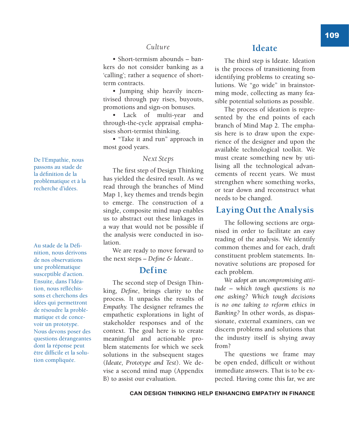### *Culture*

• Short-termism abounds – bankers do not consider banking as a 'calling'; rather a sequence of shortterm contracts.

• Jumping ship heavily incentivised through pay rises, buyouts, promotions and sign-on bonuses.

• Lack of multi-year and through-the-cycle appraisal emphasises short-termist thinking.

• "Take it and run" approach in most good years.

#### *Next Steps*

The first step of Design Thinking has yielded the desired result. As we read through the branches of Mind Map 1, key themes and trends begin to emerge. The construction of a single, composite mind map enables us to abstract out these linkages in a way that would not be possible if the analysis were conducted in isolation.

We are ready to move forward to the next steps – *Define & Ideate*..

### **Define**

The second step of Design Thinking, *Define*, brings clarity to the process. It unpacks the results of *Empathy.* The designer reframes the empathetic explorations in light of stakeholder responses and of the context. The goal here is to create meaningful and actionable problem statements for which we seek solutions in the subsequent stages (*Ideate, Prototype and Test*). We devise a second mind map (Appendix B) to assist our evaluation.

### **Ideate**

The third step is Ideate. Ideation is the process of transitioning from identifying problems to creating solutions. We "go wide" in brainstorming mode, collecting as many feasible potential solutions as possible.

The process of ideation is represented by the end points of each branch of Mind Map 2. The emphasis here is to draw upon the experience of the designer and upon the available technological toolkit. We must create something new by utilising all the technological advancements of recent years. We must strengthen where something works, or tear down and reconstruct what needs to be changed.

### **Laying Out the Analysis**

The following sections are organised in order to facilitate an easy reading of the analysis. We identify common themes and for each, draft constituent problem statements. Innovative solutions are proposed for each problem.

*We adopt an uncompromising attitude – which tough questions is no one asking? Which tough decisions is no one taking to reform ethics in Banking?* In other words, as dispassionate, external examiners, can we discern problems and solutions that the industry itself is shying away from?

The questions we frame may be open ended, difficult or without immediate answers. That is to be expected. Having come this far, we are

De l'Empathie, nous passons au stade de la définition de la problématique et à la recherche d'idées.

Au stade de la Définition, nous dérivons de nos observations une problématique susceptible d'action. Ensuite, dans l'Idéation, nous réfléchissons et cherchons des idées qui permettront de résoudre la problématique et de concevoir un prototype. Nous devons poser des questions dérangeantes dont la réponse peut être difficile et la solution compliquée.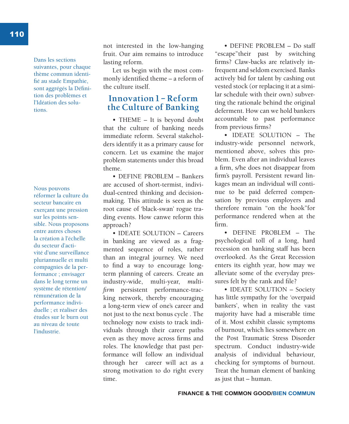110

Dans les sections suivantes, pour chaque thème commun identifié au stade Empathie, sont aggrégés la Définition des problèmes et l'Idéation des solutions.

Nous pouvons réformer la culture du secteur bancaire en exerçant une pression sur les points sensible. Nous proposons entre autres choses la création à l'échelle du secteur d'activité d'une surveillance pluriannuelle et multi compagnies de la performance ; envisager dans le long terme un système de rétention/ rémunération de la performance individuelle ; et réaliser des études sur le burn out au niveau de toute l'industrie.

not interested in the low-hanging fruit. Our aim remains to introduce lasting reform.

Let us begin with the most commonly identified theme – a reform of the culture itself.

### **Innovation 1 – Reform the Culture of Banking**

• THEME – It is beyond doubt that the culture of banking needs immediate reform. Several stakeholders identify it as a primary cause for concern. Let us examine the major problem statements under this broad theme.

• DEFINE PROBLEM – Bankers are accused of short-termist, individual-centred thinking and decisionmaking. This attitude is seen as the root cause of 'black-swan' rogue trading events. How canwe reform this approach?

• IDEATE SOLUTION – Careers in banking are viewed as a fragmented sequence of roles, rather than an integral journey. We need to find a way to encourage longterm planning of careers. Create an industry-wide, multi-year, *multifirm* persistent performance-tracking network, thereby encouraging a long-term view of one's career and not just to the next bonus cycle . The technology now exists to track individuals through their career paths even as they move across firms and roles. The knowledge that past performance will follow an individual through her career will act as a strong motivation to do right every time.

• DEFINE PROBLEM – Do staff "escape"their past by switching firms? Claw-backs are relatively infrequent and seldom exercised. Banks actively bid for talent by cashing out vested stock (or replacing it at a similar schedule with their own) subverting the rationale behind the original deferment. How can we hold bankers accountable to past performance from previous firms?

• IDEATE SOLUTION – The industry-wide personnel network, mentioned above, solves this problem. Even after an individual leaves a firm, s/he does not disappear from firm's payroll. Persistent reward linkages mean an individual will continue to be paid deferred compensation by previous employers and therefore remain "on the hook"for performance rendered when at the firm.

• DEFINE PROBLEM – The psychological toll of a long, hard recession on banking staff has been overlooked. As the Great Recession enters its eighth year, how may we alleviate some of the everyday pressures felt by the rank and file?

• IDEATE SOLUTION – Society has little sympathy for the 'overpaid bankers', when in reality the vast majority have had a miserable time of it. Most exhibit classic symptoms of burnout, which lies somewhere on the Post Traumatic Stress Disorder spectrum. Conduct industry-wide analysis of individual behaviour, checking for symptoms of burnout. Treat the human element of banking as just that – human.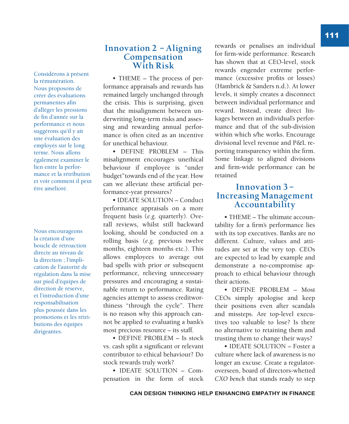Considérons à présent la rémunération. Nous proposons de créer des évaluations permanentes afin d'alléger les pressions de fin d'année sur la performance et nous suggérons qu'il y ait une évaluation des employés sur le long terme. Nous allons également examiner le lien entre la performance et la rétribution et voir comment il peut être amélioré.

Nous encourageons la création d'une boucle de rétroaction directe au niveau de la direction ; l'implication de l'autorité de régulation dans la mise sur pied d'équipes de direction de réserve, et l'introduction d'une responsabilisation plus poussée dans les promotions et les rétributions des équipes dirigeantes.

### **Innovation 2 – Aligning Compensation With Risk**

• THEME – The process of performance appraisals and rewards has remained largely unchanged through the crisis. This is surprising, given that the misalignment between underwriting long-term risks and assessing and rewarding annual performance is often cited as an incentive for unethical behaviour.

• DEFINE PROBLEM – This misalignment encourages unethical behaviour if employee is "under budget"towards end of the year. How can we alleviate these artificial performance-year pressures?

• IDEATE SOLUTION – Conduct performance appraisals on a more frequent basis (*e.g.* quarterly). Overall reviews, whilst still backward looking, should be conducted on a rolling basis (*e.g.* previous twelve months, eighteen months etc.). This allows employees to average out bad spells with prior or subsequent performance, relieving unnecessary pressures and encouraging a sustainable return to performance. Rating agencies attempt to assess creditworthiness "through the cycle". There is no reason why this approach cannot be applied to evaluating a bank's most precious resource – its staff.

• DEFINE PROBLEM – Is stock vs. cash split a significant or relevant contributor to ethical behaviour? Do stock rewards truly work?

• IDEATE SOLUTION – Compensation in the form of stock rewards or penalises an individual for firm-wide performance. Research has shown that at CEO-level, stock rewards engender extreme performance (excessive profits or losses) (Hambrick & Sanders n.d.). At lower levels, it simply creates a disconnect between individual performance and reward. Instead, create direct linkages between an individual's performance and that of the sub-division within which s/he works. Encourage divisional level revenue and P&L reporting transparency within the firm. Some linkage to aligned divisions and firm-wide performance can be retained

### **Innovation 3 – Increasing Management Accountability**

• THEME – The ultimate accountability for a firm's performance lies with its top executives. Banks are no different. Culture, values and attitudes are set at the very top. CEOs are expected to lead by example and demonstrate a no-compromise approach to ethical behaviour through their actions.

• DEFINE PROBLEM – Most CEOs simply apologise and keep their positions even after scandals and missteps. Are top-level executives too valuable to lose? Is there no alternative to retaining them and trusting them to change their ways?

• IDEATE SOLUTION – Foster a culture where lack of awareness is no longer an excuse. Create a regulatoroverseen, board of directors-whetted *CXO bench* that stands ready to step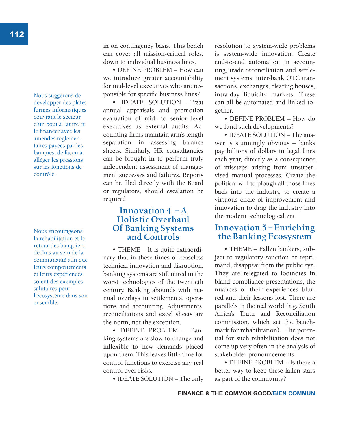Nous suggérons de développer des platesformes informatiques couvrant le secteur d'un bout à l'autre et le financer avec les amendes réglementaires payées par les banques, de façon à alléger les pressions sur les fonctions de contrôle.

Nous encourageons la réhabilitation et le retour des banquiers déchus au sein de la communauté afin que leurs comportements et leurs expériences soient des exemples salutaires pour l'écosystème dans son ensemble.

in on contingency basis. This bench can cover all mission-critical roles, down to individual business lines.

• DEFINE PROBLEM – How can we introduce greater accountability for mid-level executives who are responsible for specific business lines?

• IDEATE SOLUTION –Treat annual appraisals and promotion evaluation of mid- to senior level executives as external audits. Accounting firms maintain arm's length separation in assessing balance sheets. Similarly, HR consultancies can be brought in to perform truly independent assessment of management successes and failures. Reports can be filed directly with the Board or regulators, should escalation be required

### **Innovation 4 – A Holistic Overhaul Of Banking Systems and Controls**

• THEME – It is quite extraordinary that in these times of ceaseless technical innovation and disruption, banking systems are still mired in the worst technologies of the twentieth century. Banking abounds with manual overlays in settlements, operations and accounting. Adjustments, reconciliations and excel sheets are the norm, not the exception.

• DEFINE PROBLEM – Banking systems are slow to change and inflexible to new demands placed upon them. This leaves little time for control functions to exercise any real control over risks.

• IDEATE SOLUTION – The only

resolution to system-wide problems is system-wide innovation. Create end-to-end automation in accounting, trade reconciliation and settlement systems, inter-bank OTC transactions, exchanges, clearing houses, intra-day liquidity markets. These can all be automated and linked together.

• DEFINE PROBLEM – How do we fund such developments?

• IDEATE SOLUTION – The answer is stunningly obvious – banks pay billions of dollars in legal fines each year, directly as a consequence of missteps arising from unsupervised manual processes. Create the political will to plough all those fines back into the industry, to create a virtuous circle of improvement and innovation to drag the industry into the modern technological era

### **Innovation 5 – Enriching the Banking Ecosystem**

• THEME – Fallen bankers, subject to regulatory sanction or reprimand, disappear from the public eye. They are relegated to footnotes in bland compliance presentations, the nuances of their experiences blurred and their lessons lost. There are parallels in the real world (*e.g.* South Africa's Truth and Reconciliation commission, which set the benchmark for rehabilitation). The potential for such rehabilitation does not come up very often in the analysis of stakeholder pronouncements.

• DEFINE PROBLEM - Is there a better way to keep these fallen stars as part of the community?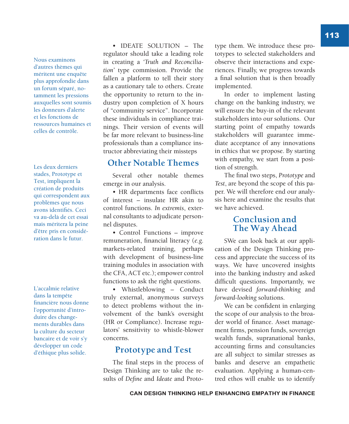Nous examinons d'autres thèmes qui méritent une enquête plus approfondie dans un forum séparé, notamment les pressions auxquelles sont soumis les donneurs d'alerte et les fonctions de ressources humaines et celles de contrôle.

Les deux derniers stades, Prototype et Test, impliquent la création de produits qui correspondent aux problèmes que nous avons identifiés. Ceci va au-delà de cet essai mais méritera la peine d'être pris en considération dans le futur.

L'accalmie relative dans la tempête financière nous donne l'opportunité d'introduire des changements durables dans la culture du secteur bancaire et de voir s'y développer un code d'éthique plus solide.

• IDEATE SOLUTION – The regulator should take a leading role in creating a *'Truth and Reconciliation'* type commission. Provide the fallen a platform to tell their story as a cautionary tale to others. Create the opportunity to return to the industry upon completion of X hours of "community service". Incorporate these individuals in compliance trainings. Their version of events will be far more relevant to business-line professionals than a compliance instructor abbreviating their missteps

### **Other Notable Themes**

Several other notable themes emerge in our analysis.

• HR departments face conflicts of interest – insulate HR akin to control functions. *In extremis*, external consultants to adjudicate personnel disputes.

• Control Functions – improve remuneration, financial literacy (*e.g.* markets-related training, perhaps with development of business-line training modules in association with the CFA, ACT etc.); empower control functions to ask the right questions.

• Whistleblowing – Conduct truly external, anonymous surveys to detect problems without the involvement of the bank's oversight (HR or Compliance). Increase regulators' sensitivity to whistle-blower concerns.

### **Prototype and Test**

The final steps in the process of Design Thinking are to take the results of *Define* and *Ideate* and Proto-

type them. We introduce these prototypes to selected stakeholders and observe their interactions and experiences. Finally, we progress towards a final solution that is then broadly implemented.

In order to implement lasting change on the banking industry, we will ensure the buy-in of the relevant stakeholders into our solutions. Our starting point of empathy towards stakeholders will guarantee immediate acceptance of any innovations in ethics that we propose. By starting with empathy, we start from a position of strength.

The final two steps, *Prototype* and *Test*, are beyond the scope of this paper. We will therefore end our analysis here and examine the results that we have achieved.

### **Conclusion and The Way Ahead**

SWe can look back at our application of the Design Thinking process and appreciate the success of its ways. We have uncovered insights into the banking industry and asked difficult questions. Importantly, we have devised *forward-thinking* and *forward-looking* solutions.

We can be confident in enlarging the scope of our analysis to the broader world of finance. Asset management firms, pension funds, sovereign wealth funds, supranational banks, accounting firms and consultancies are all subject to similar stresses as banks and deserve an empathetic evaluation. Applying a human-centred ethos will enable us to identify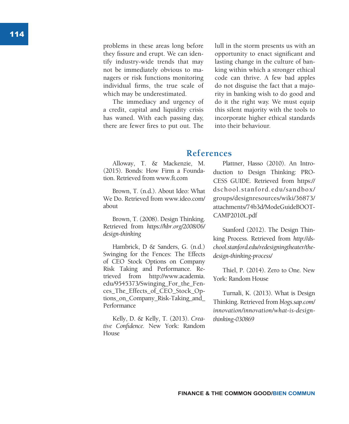problems in these areas long before they fissure and erupt. We can iden tify industry-wide trends that may not be immediately obvious to ma nagers or risk functions monitoring individual firms, the true scale of which may be underestimated.

The immediacy and urgency of a credit, capital and liquidity crisis has waned. With each passing day, there are fewer fires to put out. The

lull in the storm presents us with an opportunity to enact significant and lasting change in the culture of ban king within which a stronger ethical code can thrive. A few bad apples do not disguise the fact that a majo rity in banking wish to do good and do it the right way. We must equip this silent majority with the tools to incorporate higher ethical standards into their behaviour.

## **References**

Alloway, T. & Mackenzie, M. (2015). Bonds: How Firm a Founda tion. Retrieved from www.ft.com

Brown, T. (n.d.). About Ideo: What We Do. Retrieved from www.ideo.com/ about

Brown, T. (2008). Design Thinking. Retrieved from *https://hbr.org/2008/06/ design-thinking* 

Hambrick, D & Sanders, G. (n.d.) Swinging for the Fences: The Effects of CEO Stock Options on Company Risk Taking and Performance. Re trieved from http://www.academia. edu/9545373/Swinging\_For\_the\_Fen ces\_The\_Effects\_of\_CEO\_Stock\_Op tions\_on\_Company\_Risk-Taking\_and\_ Performance

Kelly, D. & Kelly, T. (2013). *Crea tive Confidence.* New York: Random House

Plattner, Hasso (2010). An Intro duction to Design Thinking: PRO - CESS GUIDE. Retrieved from https:// dschool.stanford.edu/sandbox/ groups/designresources/wiki/36873/ attachments/74b3d/ModeGuideBOOT - CAMP2010L.pdf

Stanford (2012). The Design Thin king Process. Retrieved from *http://ds chool.stanford.edu/redesigningtheater/thedesign-thinking-process/*

Thiel, P. (2014). Zero to One. New York: Random House

Turnali, K. (2013). What is Design Thinking. Retrieved from *blogs.sap.com/ innovation/innovation/what-is-designthinking-030869*